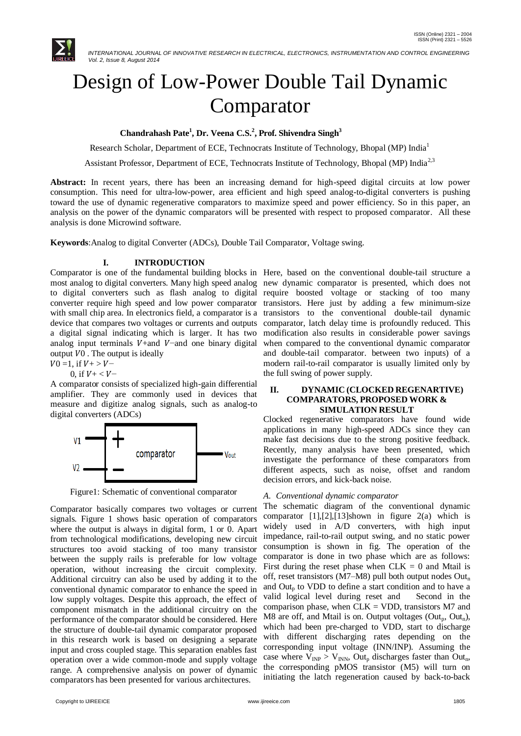

# Design of Low-Power Double Tail Dynamic Comparator

**Chandrahash Pate<sup>1</sup> , Dr. Veena C.S.<sup>2</sup> , Prof. Shivendra Singh<sup>3</sup>**

Research Scholar, Department of ECE, Technocrats Institute of Technology, Bhopal (MP) India<sup>1</sup>

Assistant Professor, Department of ECE, Technocrats Institute of Technology, Bhopal (MP) India<sup>2,3</sup>

**Abstract:** In recent years, there has been an increasing demand for high-speed digital circuits at low power consumption. This need for ultra-low-power, area efficient and high speed analog-to-digital converters is pushing toward the use of dynamic regenerative comparators to maximize speed and power efficiency. So in this paper, an analysis on the power of the dynamic comparators will be presented with respect to proposed comparator. All these analysis is done Microwind software.

**Keywords**:Analog to digital Converter (ADCs), Double Tail Comparator, Voltage swing.

# **I. INTRODUCTION**

most analog to digital converters. Many high speed analog new dynamic comparator is presented, which does not to digital converters such as flash analog to digital require boosted voltage or stacking of too many converter require high speed and low power comparator transistors. Here just by adding a few minimum-size with small chip area. In electronics field, a comparator is a transistors to the conventional double-tail dynamic device that compares two voltages or currents and outputs comparator, latch delay time is profoundly reduced. This a digital signal indicating which is larger. It has two modification also results in considerable power savings analog input terminals  $V+$ and  $V$ −and one binary digital output  $V_0$ . The output is ideally

$$
V0 = 1, \text{ if } V + > V -
$$

0, if  $V + < V -$ 

A comparator consists of specialized high-gain differential amplifier. They are commonly used in devices that measure and digitize analog signals, such as analog-to digital converters (ADCs)



Figure1: Schematic of conventional comparator

Comparator basically compares two voltages or current signals. Figure 1 shows basic operation of comparators where the output is always in digital form, 1 or 0. Apart from technological modifications, developing new circuit structures too avoid stacking of too many transistor between the supply rails is preferable for low voltage operation, without increasing the circuit complexity. Additional circuitry can also be used by adding it to the conventional dynamic comparator to enhance the speed in low supply voltages. Despite this approach, the effect of component mismatch in the additional circuitry on the performance of the comparator should be considered. Here the structure of double-tail dynamic comparator proposed in this research work is based on designing a separate input and cross coupled stage. This separation enables fast operation over a wide common-mode and supply voltage range. A comprehensive analysis on power of dynamic comparators has been presented for various architectures.

Comparator is one of the fundamental building blocks in Here, based on the conventional double-tail structure a when compared to the conventional dynamic comparator and double-tail comparator. between two inputs) of a modern rail-to-rail comparator is usually limited only by the full swing of power supply.

#### **II. DYNAMIC (CLOCKED REGENARTIVE) COMPARATORS, PROPOSED WORK & SIMULATION RESULT**

Clocked regenerative comparators have found wide applications in many high-speed ADCs since they can make fast decisions due to the strong positive feedback. Recently, many analysis have been presented, which investigate the performance of these comparators from different aspects, such as noise, offset and random decision errors, and kick-back noise.

# *A. Conventional dynamic comparator*

The schematic diagram of the conventional dynamic comparator [1],[2],[13]shown in figure 2(a) which is widely used in A/D converters, with high input impedance, rail-to-rail output swing, and no static power consumption is shown in fig. The operation of the comparator is done in two phase which are as follows: First during the reset phase when  $CLK = 0$  and Mtail is off, reset transistors ( $M7-M8$ ) pull both output nodes  $Out<sub>n</sub>$ and  $Out<sub>p</sub>$  to VDD to define a start condition and to have a valid logical level during reset and Second in the comparison phase, when  $CLK = VDD$ , transistors  $M7$  and M8 are off, and Mtail is on. Output voltages (Out<sub>n</sub>, Out<sub>n</sub>), which had been pre-charged to VDD, start to discharge with different discharging rates depending on the corresponding input voltage (INN/INP). Assuming the case where  $V_{INP} > V_{INN}$ , Out<sub>p</sub> discharges faster than Out<sub>n</sub>, the corresponding pMOS transistor (M5) will turn on initiating the latch regeneration caused by back-to-back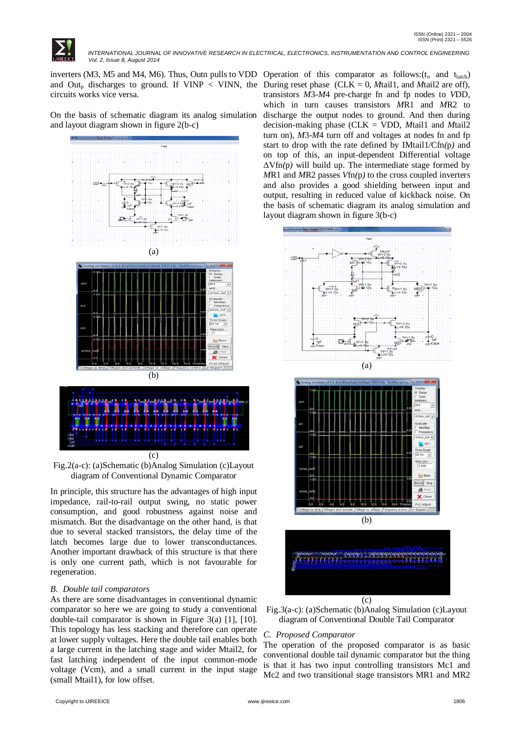

 *INTERNATIONAL JOURNAL OF INNOVATIVE RESEARCH IN ELECTRICAL, ELECTRONICS, INSTRUMENTATION AND CONTROL ENGINEERING Vol. 2, Issue 8, August 2014*

inverters (M3, M5 and M4, M6). Thus, Outn pulls to VDD Operation of this comparator as follows:  $(t_0$  and  $t_{\text{latch}})$ and Out<sub>p</sub> discharges to ground. If VINP < VINN, the During reset phase (CLK = 0, *Mtail1*, and *Mtail2* are off), circuits works vice versa.

On the basis of schematic diagram its analog simulation and layout diagram shown in figure 2(b-c)



Fig.2(a-c): (a)Schematic (b)Analog Simulation (c)Layout diagram of Conventional Dynamic Comparator

In principle, this structure has the advantages of high input impedance, rail-to-rail output swing, no static power consumption, and good robustness against noise and mismatch. But the disadvantage on the other hand, is that due to several stacked transistors, the delay time of the latch becomes large due to lower transconductances. Another important drawback of this structure is that there is only one current path, which is not favourable for regeneration.

# *B. Double tail comparators*

As there are some disadvantages in conventional dynamic comparator so here we are going to study a conventional double-tail comparator is shown in Figure 3(a) [1], [10]. This topology has less stacking and therefore can operate at lower supply voltages. Here the double tail enables both a large current in the latching stage and wider Mtail2, for fast latching independent of the input common-mode voltage (Vcm), and a small current in the input stage (small Mtail1), for low offset.

transistors *M*3-*M*4 pre-charge fn and fp nodes to *V*DD, which in turn causes transistors *M*R1 and *M*R2 to discharge the output nodes to ground. And then during decision-making phase (CLK = VDD, *M*tail1 and *M*tail2 turn on), *M*3-*M*4 turn off and voltages at nodes fn and fp start to drop with the rate defined by IMtail1*/*Cfn*(*p*)* and on top of this, an input-dependent Differential voltage ΔVfn*(*p*)* will build up. The intermediate stage formed by *M*R1 and *M*R2 passes *V*fn*(*p*)* to the cross coupled inverters and also provides a good shielding between input and output, resulting in reduced value of kickback noise. On the basis of schematic diagram its analog simulation and layout diagram shown in figure 3(b-c)





#### *C. Proposed Comparator*

The operation of the proposed comparator is as basic conventional double tail dynamic comparator but the thing is that it has two input controlling transistors Mc1 and Mc2 and two transitional stage transistors MR1 and MR2